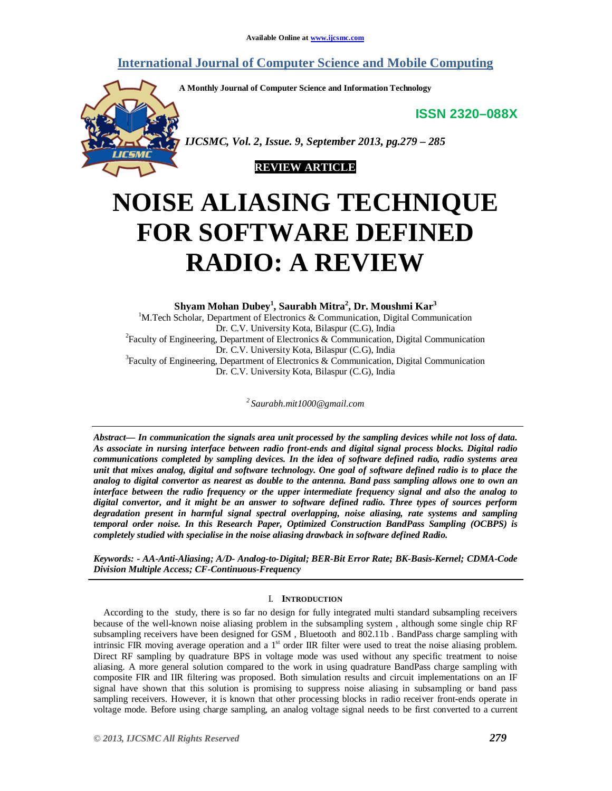## **International Journal of Computer Science and Mobile Computing**

**A Monthly Journal of Computer Science and Information Technology**

**ISSN 2320–088X**



 *IJCSMC, Vol. 2, Issue. 9, September 2013, pg.279 – 285*



# **NOISE ALIASING TECHNIQUE FOR SOFTWARE DEFINED RADIO: A REVIEW**

**Shyam Mohan Dubey<sup>1</sup> , Saurabh Mitra<sup>2</sup> , Dr. Moushmi Kar<sup>3</sup>** <sup>1</sup>M.Tech Scholar, Department of Electronics & Communication, Digital Communication Dr. C.V. University Kota, Bilaspur (C.G), India <sup>2</sup> Faculty of Engineering, Department of Electronics & Communication, Digital Communication Dr. C.V. University Kota, Bilaspur (C.G), India

<sup>3</sup> Faculty of Engineering, Department of Electronics & Communication, Digital Communication Dr. C.V. University Kota, Bilaspur (C.G), India

*2 Saurabh.mit1000@gmail.com*

*Abstract— In communication the signals area unit processed by the sampling devices while not loss of data. As associate in nursing interface between radio front-ends and digital signal process blocks. Digital radio communications completed by sampling devices. In the idea of software defined radio, radio systems area unit that mixes analog, digital and software technology. One goal of software defined radio is to place the analog to digital convertor as nearest as double to the antenna. Band pass sampling allows one to own an interface between the radio frequency or the upper intermediate frequency signal and also the analog to digital convertor, and it might be an answer to software defined radio. Three types of sources perform degradation present in harmful signal spectral overlapping, noise aliasing, rate systems and sampling temporal order noise. In this Research Paper, Optimized Construction BandPass Sampling (OCBPS) is completely studied with specialise in the noise aliasing drawback in software defined Radio.*

*Keywords: - AA-Anti-Aliasing; A/D- Analog-to-Digital; BER-Bit Error Rate; BK-Basis-Kernel; CDMA-Code Division Multiple Access; CF-Continuous-Frequency*

### I. **INTRODUCTION**

According to the study, there is so far no design for fully integrated multi standard subsampling receivers because of the well-known noise aliasing problem in the subsampling system , although some single chip RF subsampling receivers have been designed for GSM , Bluetooth and 802.11b . BandPass charge sampling with intrinsic FIR moving average operation and a  $1<sup>st</sup>$  order IIR filter were used to treat the noise aliasing problem. Direct RF sampling by quadrature BPS in voltage mode was used without any specific treatment to noise aliasing. A more general solution compared to the work in using quadrature BandPass charge sampling with composite FIR and IIR filtering was proposed. Both simulation results and circuit implementations on an IF signal have shown that this solution is promising to suppress noise aliasing in subsampling or band pass sampling receivers. However, it is known that other processing blocks in radio receiver front-ends operate in voltage mode. Before using charge sampling, an analog voltage signal needs to be first converted to a current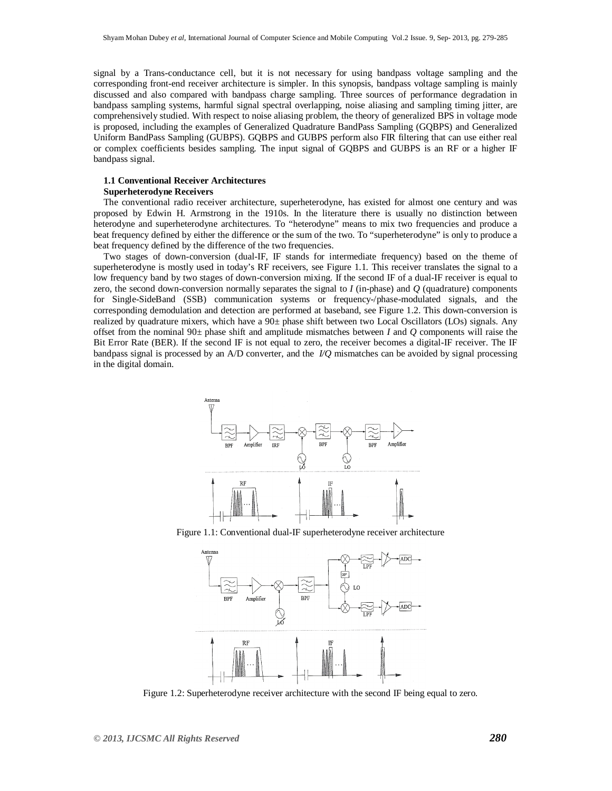signal by a Trans-conductance cell, but it is not necessary for using bandpass voltage sampling and the corresponding front-end receiver architecture is simpler. In this synopsis, bandpass voltage sampling is mainly discussed and also compared with bandpass charge sampling. Three sources of performance degradation in bandpass sampling systems, harmful signal spectral overlapping, noise aliasing and sampling timing jitter, are comprehensively studied. With respect to noise aliasing problem, the theory of generalized BPS in voltage mode is proposed, including the examples of Generalized Quadrature BandPass Sampling (GQBPS) and Generalized Uniform BandPass Sampling (GUBPS). GQBPS and GUBPS perform also FIR filtering that can use either real or complex coefficients besides sampling. The input signal of GQBPS and GUBPS is an RF or a higher IF bandpass signal.

#### **1.1 Conventional Receiver Architectures Superheterodyne Receivers**

The conventional radio receiver architecture, superheterodyne, has existed for almost one century and was proposed by Edwin H. Armstrong in the 1910s. In the literature there is usually no distinction between heterodyne and superheterodyne architectures. To "heterodyne" means to mix two frequencies and produce a beat frequency defined by either the difference or the sum of the two. To "superheterodyne" is only to produce a beat frequency defined by the difference of the two frequencies.

Two stages of down-conversion (dual-IF, IF stands for intermediate frequency) based on the theme of superheterodyne is mostly used in today's RF receivers, see Figure 1.1. This receiver translates the signal to a low frequency band by two stages of down-conversion mixing. If the second IF of a dual-IF receiver is equal to zero, the second down-conversion normally separates the signal to *I* (in-phase) and *Q* (quadrature) components for Single-SideBand (SSB) communication systems or frequency-/phase-modulated signals, and the corresponding demodulation and detection are performed at baseband, see Figure 1.2. This down-conversion is realized by quadrature mixers, which have a 90*±* phase shift between two Local Oscillators (LOs) signals. Any offset from the nominal 90*±* phase shift and amplitude mismatches between *I* and *Q* components will raise the Bit Error Rate (BER). If the second IF is not equal to zero, the receiver becomes a digital-IF receiver. The IF bandpass signal is processed by an A/D converter, and the *I/Q* mismatches can be avoided by signal processing in the digital domain.



Figure 1.1: Conventional dual-IF superheterodyne receiver architecture



Figure 1.2: Superheterodyne receiver architecture with the second IF being equal to zero.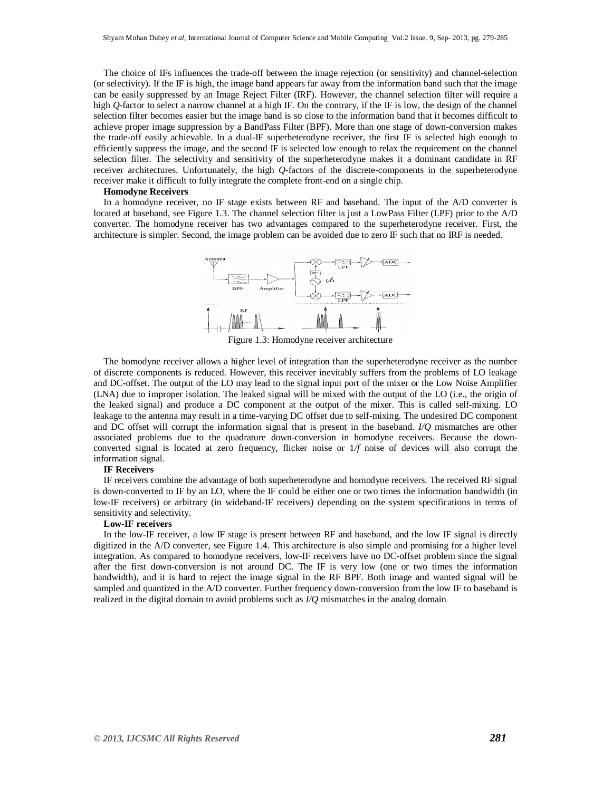The choice of IFs influences the trade-off between the image rejection (or sensitivity) and channel-selection (or selectivity). If the IF is high, the image band appears far away from the information band such that the image can be easily suppressed by an Image Reject Filter (IRF). However, the channel selection filter will require a high *Q*-factor to select a narrow channel at a high IF. On the contrary, if the IF is low, the design of the channel selection filter becomes easier but the image band is so close to the information band that it becomes difficult to achieve proper image suppression by a BandPass Filter (BPF). More than one stage of down-conversion makes the trade-off easily achievable. In a dual-IF superheterodyne receiver, the first IF is selected high enough to efficiently suppress the image, and the second  $\overline{IF}$  is selected low enough to relax the requirement on the channel selection filter. The selectivity and sensitivity of the superheterodyne makes it a dominant candidate in RF receiver architectures. Unfortunately, the high *Q*-factors of the discrete-components in the superheterodyne receiver make it difficult to fully integrate the complete front-end on a single chip.

#### **Homodyne Receivers**

In a homodyne receiver, no IF stage exists between RF and baseband. The input of the A/D converter is located at baseband, see Figure 1.3. The channel selection filter is just a LowPass Filter (LPF) prior to the A/D converter. The homodyne receiver has two advantages compared to the superheterodyne receiver. First, the architecture is simpler. Second, the image problem can be avoided due to zero IF such that no IRF is needed.



Figure 1.3: Homodyne receiver architecture

The homodyne receiver allows a higher level of integration than the superheterodyne receiver as the number of discrete components is reduced. However, this receiver inevitably suffers from the problems of LO leakage and DC-offset. The output of the LO may lead to the signal input port of the mixer or the Low Noise Amplifier (LNA) due to improper isolation. The leaked signal will be mixed with the output of the LO (i.e., the origin of the leaked signal) and produce a DC component at the output of the mixer. This is called self-mixing. LO leakage to the antenna may result in a time-varying DC offset due to self-mixing. The undesired DC component and DC offset will corrupt the information signal that is present in the baseband. *I/Q* mismatches are other associated problems due to the quadrature down-conversion in homodyne receivers. Because the downconverted signal is located at zero frequency, flicker noise or 1*/f* noise of devices will also corrupt the information signal.

#### **IF Receivers**

IF receivers combine the advantage of both superheterodyne and homodyne receivers. The received RF signal is down-converted to IF by an LO, where the IF could be either one or two times the information bandwidth (in low-IF receivers) or arbitrary (in wideband-IF receivers) depending on the system specifications in terms of sensitivity and selectivity.

#### **Low-IF receivers**

In the low-IF receiver, a low IF stage is present between RF and baseband, and the low IF signal is directly digitized in the A/D converter, see Figure 1.4. This architecture is also simple and promising for a higher level integration. As compared to homodyne receivers, low-IF receivers have no DC-offset problem since the signal after the first down-conversion is not around DC. The IF is very low (one or two times the information bandwidth), and it is hard to reject the image signal in the RF BPF. Both image and wanted signal will be sampled and quantized in the A/D converter. Further frequency down-conversion from the low IF to baseband is realized in the digital domain to avoid problems such as *I/Q* mismatches in the analog domain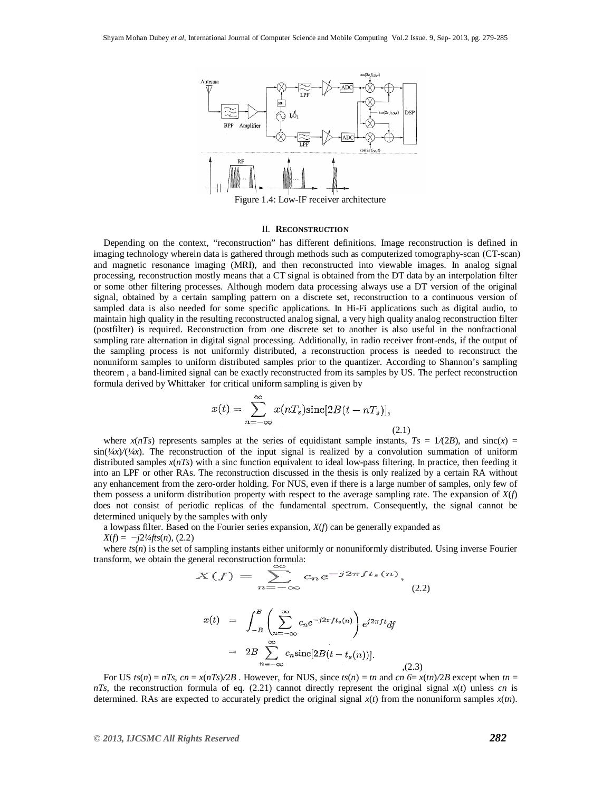

#### II. **RECONSTRUCTION**

Depending on the context, "reconstruction" has different definitions. Image reconstruction is defined in imaging technology wherein data is gathered through methods such as computerized tomography-scan (CT-scan) and magnetic resonance imaging (MRI), and then reconstructed into viewable images. In analog signal processing, reconstruction mostly means that a CT signal is obtained from the DT data by an interpolation filter or some other filtering processes. Although modern data processing always use a DT version of the original signal, obtained by a certain sampling pattern on a discrete set, reconstruction to a continuous version of sampled data is also needed for some specific applications. In Hi-Fi applications such as digital audio, to maintain high quality in the resulting reconstructed analog signal, a very high quality analog reconstruction filter (postfilter) is required. Reconstruction from one discrete set to another is also useful in the nonfractional sampling rate alternation in digital signal processing. Additionally, in radio receiver front-ends, if the output of the sampling process is not uniformly distributed, a reconstruction process is needed to reconstruct the nonuniform samples to uniform distributed samples prior to the quantizer. According to Shannon's sampling theorem , a band-limited signal can be exactly reconstructed from its samples by US. The perfect reconstruction formula derived by Whittaker for critical uniform sampling is given by

$$
x(t) = \sum_{n = -\infty}^{\infty} x(nT_s)\text{sinc}[2B(t - nT_s)],
$$
\n(2.1)

where  $x(nT_s)$  represents samples at the series of equidistant sample instants,  $Ts = 1/(2B)$ , and sinc(*x*) =  $sin(\frac{1}{x})(\frac{1}{x})$ . The reconstruction of the input signal is realized by a convolution summation of uniform distributed samples  $x(nTs)$  with a sinc function equivalent to ideal low-pass filtering. In practice, then feeding it into an LPF or other RAs. The reconstruction discussed in the thesis is only realized by a certain RA without any enhancement from the zero-order holding. For NUS, even if there is a large number of samples, only few of them possess a uniform distribution property with respect to the average sampling rate. The expansion of *X*(*f*) does not consist of periodic replicas of the fundamental spectrum. Consequently, the signal cannot be determined uniquely by the samples with only

a lowpass filter. Based on the Fourier series expansion, *X*(*f*) can be generally expanded as *X*(*f*) = *−j*2*¼fts*(*n*)*,* (2.2)

where  $ts(n)$  is the set of sampling instants either uniformly or nonuniformly distributed. Using inverse Fourier transform, we obtain the general reconstruction formula:

$$
X(f) = \sum_{n=-\infty} c_n e^{-j2\pi ft_s(n)},
$$
\n
$$
x(t) = \int_{-B}^{B} \left( \sum_{n=-\infty}^{\infty} c_n e^{-j2\pi ft_s(n)} \right) e^{j2\pi ft} df
$$
\n
$$
= 2B \sum_{n=-\infty}^{\infty} c_n \text{sinc}[2B(t - t_s(n))].
$$
\n(2.3)

For US  $ts(n) = nTs$ ,  $cn = x(nTs)/2B$ . However, for NUS, since  $ts(n) = tn$  and  $cn \leq x(tn)/2B$  except when  $tn =$ *nTs*, the reconstruction formula of eq. (2.21) cannot directly represent the original signal *x*(*t*) unless *cn* is determined. RAs are expected to accurately predict the original signal  $x(t)$  from the nonuniform samples  $x(tn)$ .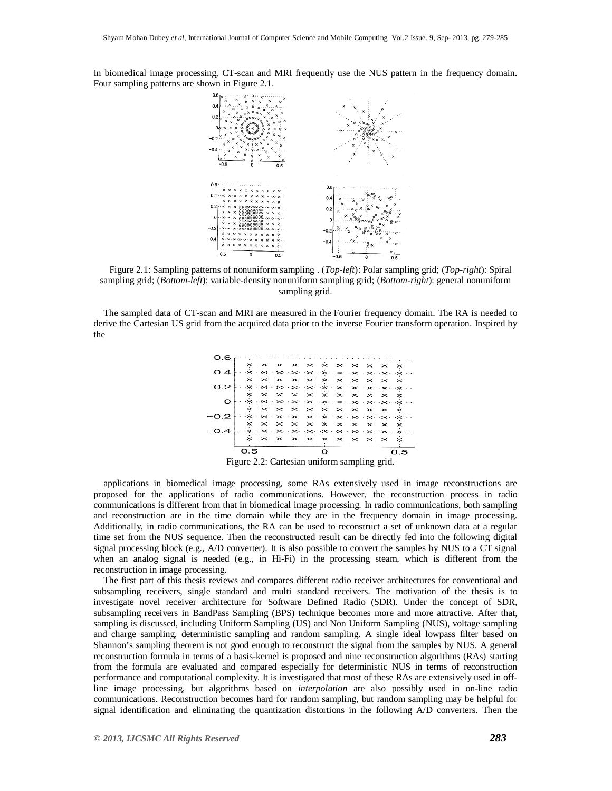In biomedical image processing, CT-scan and MRI frequently use the NUS pattern in the frequency domain. Four sampling patterns are shown in Figure 2.1.



Figure 2.1: Sampling patterns of nonuniform sampling . (*Top-left*): Polar sampling grid; (*Top-right*): Spiral sampling grid; (*Bottom-left*): variable-density nonuniform sampling grid; (*Bottom-right*): general nonuniform sampling grid.

The sampled data of CT-scan and MRI are measured in the Fourier frequency domain. The RA is needed to derive the Cartesian US grid from the acquired data prior to the inverse Fourier transform operation. Inspired by the



applications in biomedical image processing, some RAs extensively used in image reconstructions are proposed for the applications of radio communications. However, the reconstruction process in radio communications is different from that in biomedical image processing. In radio communications, both sampling and reconstruction are in the time domain while they are in the frequency domain in image processing. Additionally, in radio communications, the RA can be used to reconstruct a set of unknown data at a regular time set from the NUS sequence. Then the reconstructed result can be directly fed into the following digital signal processing block (e.g., A/D converter). It is also possible to convert the samples by NUS to a CT signal when an analog signal is needed (e.g., in Hi-Fi) in the processing steam, which is different from the reconstruction in image processing.

The first part of this thesis reviews and compares different radio receiver architectures for conventional and subsampling receivers, single standard and multi standard receivers. The motivation of the thesis is to investigate novel receiver architecture for Software Defined Radio (SDR). Under the concept of SDR, subsampling receivers in BandPass Sampling (BPS) technique becomes more and more attractive. After that, sampling is discussed, including Uniform Sampling (US) and Non Uniform Sampling (NUS), voltage sampling and charge sampling, deterministic sampling and random sampling. A single ideal lowpass filter based on Shannon's sampling theorem is not good enough to reconstruct the signal from the samples by NUS. A general reconstruction formula in terms of a basis-kernel is proposed and nine reconstruction algorithms (RAs) starting from the formula are evaluated and compared especially for deterministic NUS in terms of reconstruction performance and computational complexity. It is investigated that most of these RAs are extensively used in offline image processing, but algorithms based on *interpolation* are also possibly used in on-line radio communications. Reconstruction becomes hard for random sampling, but random sampling may be helpful for signal identification and eliminating the quantization distortions in the following A/D converters. Then the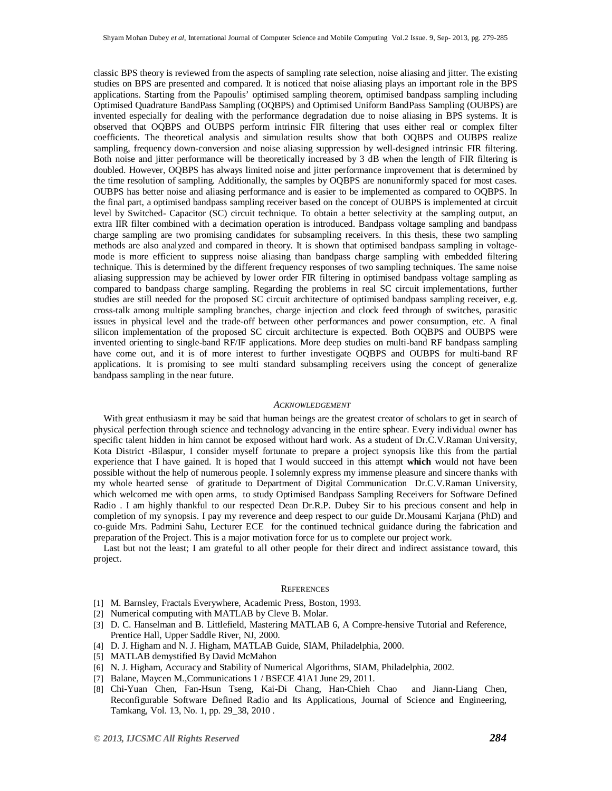classic BPS theory is reviewed from the aspects of sampling rate selection, noise aliasing and jitter. The existing studies on BPS are presented and compared. It is noticed that noise aliasing plays an important role in the BPS applications. Starting from the Papoulis' optimised sampling theorem, optimised bandpass sampling including Optimised Quadrature BandPass Sampling (OQBPS) and Optimised Uniform BandPass Sampling (OUBPS) are invented especially for dealing with the performance degradation due to noise aliasing in BPS systems. It is observed that OQBPS and OUBPS perform intrinsic FIR filtering that uses either real or complex filter coefficients. The theoretical analysis and simulation results show that both OQBPS and OUBPS realize sampling, frequency down-conversion and noise aliasing suppression by well-designed intrinsic FIR filtering. Both noise and jitter performance will be theoretically increased by 3 dB when the length of FIR filtering is doubled. However, OQBPS has always limited noise and jitter performance improvement that is determined by the time resolution of sampling. Additionally, the samples by OQBPS are nonuniformly spaced for most cases. OUBPS has better noise and aliasing performance and is easier to be implemented as compared to OQBPS. In the final part, a optimised bandpass sampling receiver based on the concept of OUBPS is implemented at circuit level by Switched- Capacitor (SC) circuit technique. To obtain a better selectivity at the sampling output, an extra IIR filter combined with a decimation operation is introduced. Bandpass voltage sampling and bandpass charge sampling are two promising candidates for subsampling receivers. In this thesis, these two sampling methods are also analyzed and compared in theory. It is shown that optimised bandpass sampling in voltagemode is more efficient to suppress noise aliasing than bandpass charge sampling with embedded filtering technique. This is determined by the different frequency responses of two sampling techniques. The same noise aliasing suppression may be achieved by lower order FIR filtering in optimised bandpass voltage sampling as compared to bandpass charge sampling. Regarding the problems in real SC circuit implementations, further studies are still needed for the proposed SC circuit architecture of optimised bandpass sampling receiver, e.g. cross-talk among multiple sampling branches, charge injection and clock feed through of switches, parasitic issues in physical level and the trade-off between other performances and power consumption, etc. A final silicon implementation of the proposed SC circuit architecture is expected. Both OQBPS and OUBPS were invented orienting to single-band RF/IF applications. More deep studies on multi-band RF bandpass sampling have come out, and it is of more interest to further investigate OQBPS and OUBPS for multi-band RF applications. It is promising to see multi standard subsampling receivers using the concept of generalize bandpass sampling in the near future.

#### *ACKNOWLEDGEMENT*

With great enthusiasm it may be said that human beings are the greatest creator of scholars to get in search of physical perfection through science and technology advancing in the entire sphear. Every individual owner has specific talent hidden in him cannot be exposed without hard work. As a student of Dr.C.V.Raman University, Kota District -Bilaspur, I consider myself fortunate to prepare a project synopsis like this from the partial experience that I have gained. It is hoped that I would succeed in this attempt **which** would not have been possible without the help of numerous people. I solemnly express my immense pleasure and sincere thanks with my whole hearted sense of gratitude to Department of Digital Communication Dr.C.V.Raman University, which welcomed me with open arms, to study Optimised Bandpass Sampling Receivers for Software Defined Radio . I am highly thankful to our respected Dean Dr.R.P. Dubey Sir to his precious consent and help in completion of my synopsis. I pay my reverence and deep respect to our guide Dr.Mousami Karjana (PhD) and co-guide Mrs. Padmini Sahu, Lecturer ECE for the continued technical guidance during the fabrication and preparation of the Project. This is a major motivation force for us to complete our project work.

Last but not the least; I am grateful to all other people for their direct and indirect assistance toward, this project.

#### **REFERENCES**

- [1] M. Barnsley, Fractals Everywhere, Academic Press, Boston, 1993.
- [2] Numerical computing with MATLAB by Cleve B. Molar.
- [3] D. C. Hanselman and B. Littlefield, Mastering MATLAB 6, A Compre-hensive Tutorial and Reference, Prentice Hall, Upper Saddle River, NJ, 2000.
- [4] D. J. Higham and N. J. Higham, MATLAB Guide, SIAM, Philadelphia, 2000.
- [5] MATLAB demystified By David McMahon
- [6] N. J. Higham, Accuracy and Stability of Numerical Algorithms, SIAM, Philadelphia, 2002.
- [7] Balane, Maycen M., Communications 1 / BSECE 41A1 June 29, 2011.
- [8] Chi-Yuan Chen, Fan-Hsun Tseng, Kai-Di Chang, Han-Chieh Chao and Jiann-Liang Chen, Reconfigurable Software Defined Radio and Its Applications, Journal of Science and Engineering, Tamkang, Vol. 13, No. 1, pp. 29\_38, 2010 .